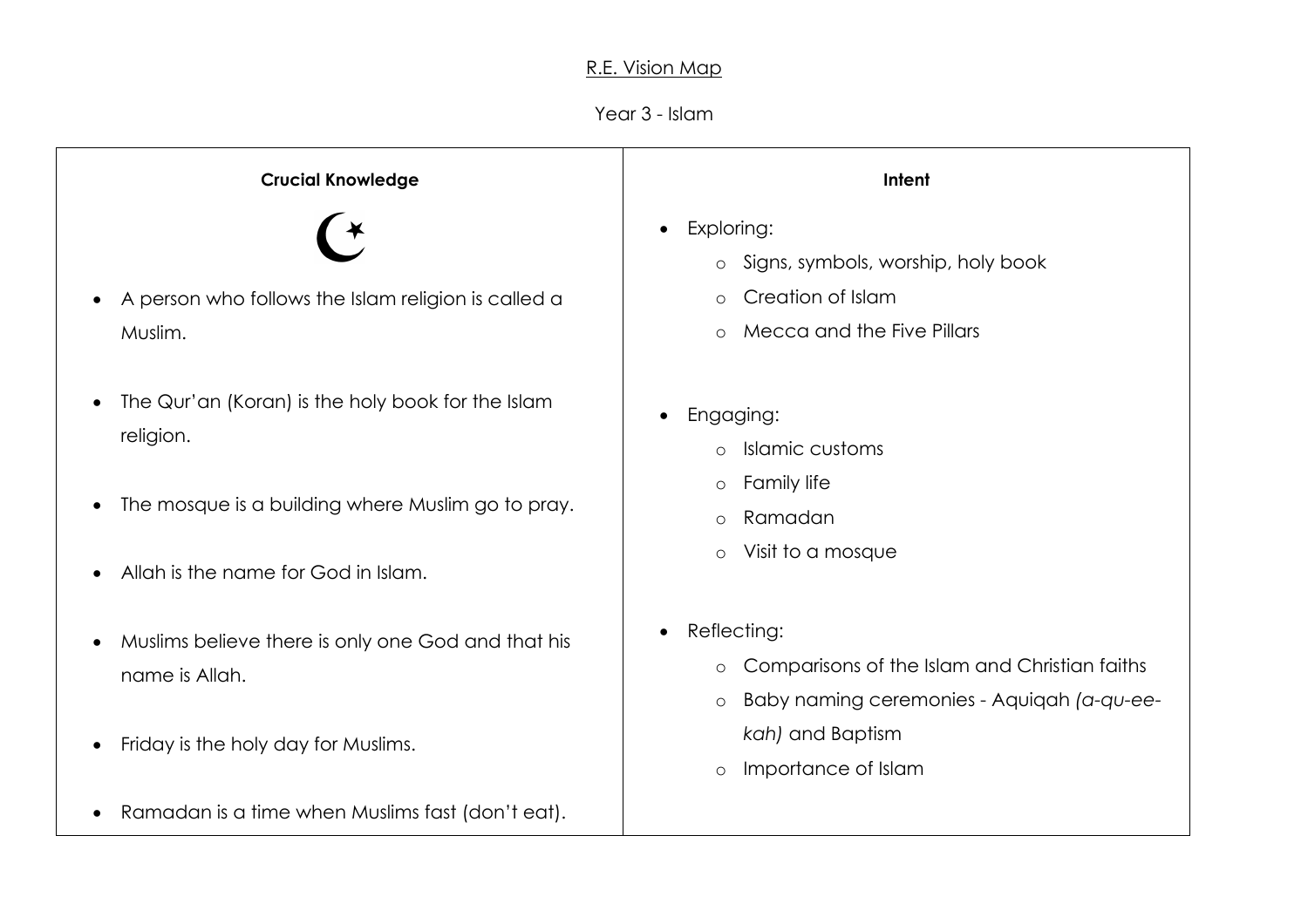## R.E. Vision Map